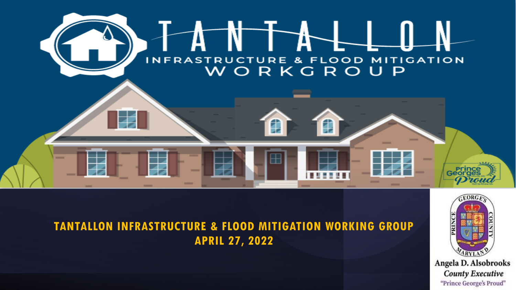

### **TANTALLON INFRASTRUCTURE & FLOOD MITIGATION WORKING GROUP APRIL 27, 2022**



Angela D. Alsobrooks **County Executive** "Prince George's Proud"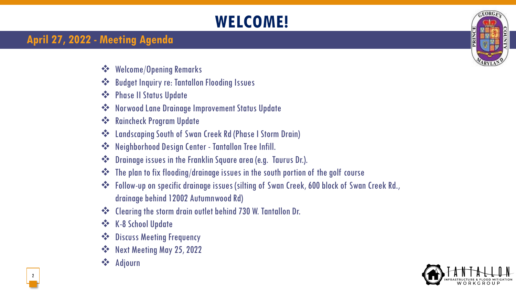## **WELCOME!**

### **April 27, 2022 - Meeting Agenda**

- ❖ Welcome/Opening Remarks
- ❖ Budget Inquiry re: Tantallon Flooding Issues
- ❖ Phase II Status Update
- ❖ Norwood Lane Drainage Improvement Status Update
- ❖ Raincheck Program Update
- ❖ Landscaping South of Swan Creek Rd (Phase I Storm Drain)
- ❖ Neighborhood Design Center Tantallon Tree Infill.
- ❖ Drainage issues in the Franklin Square area (e.g. Taurus Dr.).
- ❖ The plan to fix flooding/drainage issues in the south portion of the golf course
- ❖ Follow-up on specific drainage issues (silting of Swan Creek, 600 block of Swan Creek Rd., drainage behind 12002 Autumnwood Rd)
- ❖ Clearing the storm drain outlet behind 730 W. Tantallon Dr.
- ❖ K-8 School Update
- ❖ Discuss Meeting Frequency
- ❖ Next Meeting May 25, 2022
- ❖ Adjourn



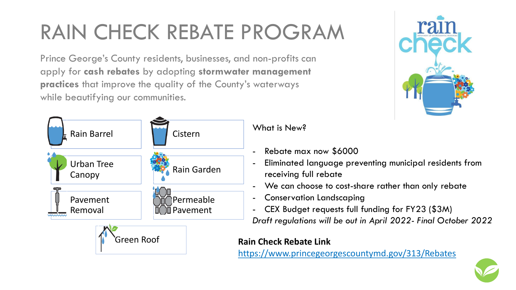# RAIN CHECK REBATE PROGRAM

Prince George's County residents, businesses, and non-profits can apply for **cash rebates** by adopting **stormwater management practices** that improve the quality of the County's waterways while beautifying our communities.



What is New?

- Rebate max now \$6000
- Eliminated language preventing municipal residents from receiving full rebate
- We can choose to cost-share rather than only rebate
- Conservation Landscaping
- CEX Budget requests full funding for FY23 (\$3M) *Draft regulations will be out in April 2022- Final October 2022*

#### **Rain Check Rebate Link**

<https://www.princegeorgescountymd.gov/313/Rebates>



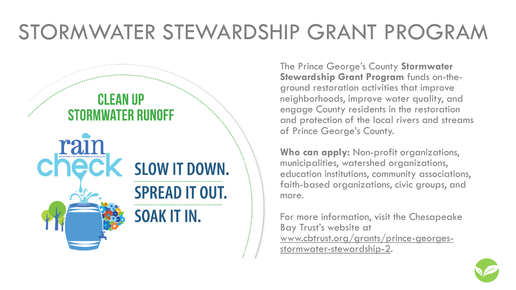# STORMWATER STEWARDSHIP GRANT PROGRAM



The Prince George's County **Stormwater Stewardship Grant Program** funds on-theground restoration activities that improve neighborhoods, improve water quality, and engage County residents in the restoration and protection of the local rivers and streams of Prince George's County.

**Who can apply:** Non-profit organizations, municipalities, watershed organizations, education institutions, community associations, faith-based organizations, civic groups, and more.

For more information, visit the Chesapeake Bay Trust's website at www.cbtrust.org/grants/prince-georgesstormwater-stewardship-2.

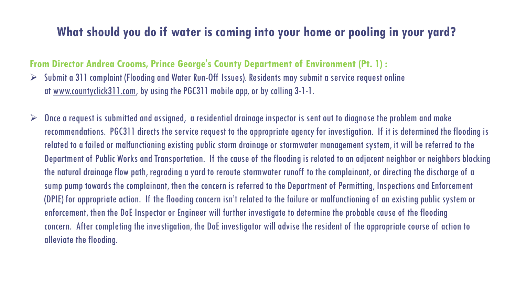### **What should you do if water is coming into your home or pooling in your yard?**

#### **From Director Andrea Crooms, Prince George's County Department of Environment (Pt. 1) :**

- $\triangleright$  Submit a 311 complaint (Flooding and Water Run-Off Issues). Residents may submit a service request online at [www.countyclick311.com,](https://gcc02.safelinks.protection.outlook.com/?url=http%3A%2F%2Fwww.countyclick311.com%2F&data=05%7C01%7Cddcooper%40co.pg.md.us%7C6e3a51189c2c4f5834a308da2d477b6f%7C4146bddaddc14d2aa1b21a64cc3c837b%7C0%7C0%7C637872082275844127%7CUnknown%7CTWFpbGZsb3d8eyJWIjoiMC4wLjAwMDAiLCJQIjoiV2luMzIiLCJBTiI6Ik1haWwiLCJXVCI6Mn0%3D%7C3000%7C%7C%7C&sdata=Yz9GwZuQIVMApU%2BtaaWNnTWVx%2FJu0tTb%2Fyik4g7La0Q%3D&reserved=0) by using the PGC311 mobile app, or by calling 3-1-1.
- $\triangleright$  Once a request is submitted and assigned, a residential drainage inspector is sent out to diagnose the problem and make recommendations. PGC311 directs the service request to the appropriate agency for investigation. If it is determined the flooding is related to a failed or malfunctioning existing public storm drainage or stormwater management system, it will be referred to the Department of Public Works and Transportation. If the cause of the flooding is related to an adjacent neighbor or neighbors blocking the natural drainage flow path, regrading a yard to reroute stormwater runoff to the complainant, or directing the discharge of a sump pump towards the complainant, then the concern is referred to the Department of Permitting, Inspections and Enforcement (DPIE) for appropriate action. If the flooding concern isn't related to the failure or malfunctioning of an existing public system or enforcement, then the DoE Inspector or Engineer will further investigate to determine the probable cause of the flooding concern. After completing the investigation, the DoE investigator will advise the resident of the appropriate course of action to alleviate the flooding.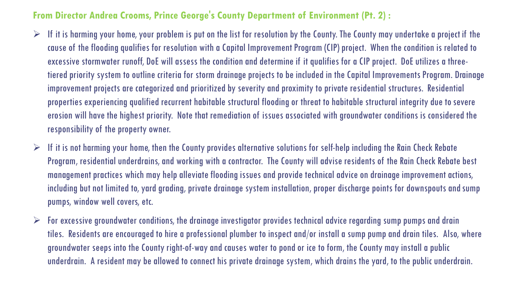#### **From Director Andrea Crooms, Prince George's County Department of Environment (Pt. 2) :**

- $\triangleright$  If it is harming your home, your problem is put on the list for resolution by the County. The County may undertake a project if the cause of the flooding qualifies for resolution with a Capital Improvement Program (CIP) project. When the condition is related to excessive stormwater runoff, DoE will assess the condition and determine if it qualifies for a CIP project. DoE utilizes a threetiered priority system to outline criteria for storm drainage projects to be included in the Capital Improvements Program. Drainage improvement projects are categorized and prioritized by severity and proximity to private residential structures. Residential properties experiencing qualified recurrent habitable structural flooding or threat to habitable structural integrity due to severe erosion will have the highest priority. Note that remediation of issues associated with groundwater conditions is considered the responsibility of the property owner.
- $\triangleright$  If it is not harming your home, then the County provides alternative solutions for self-help including the Rain Check Rebate Program, residential underdrains, and working with a contractor. The County will advise residents of the Rain Check Rebate best management practices which may help alleviate flooding issues and provide technical advice on drainage improvement actions, including but not limited to, yard grading, private drainage system installation, proper discharge points for downspouts and sump pumps, window well covers, etc.
- $\triangleright$  For excessive groundwater conditions, the drainage investigator provides technical advice regarding sump pumps and drain tiles. Residents are encouraged to hire a professional plumber to inspect and/or install a sump pump and drain tiles. Also, where groundwater seeps into the County right-of-way and causes water to pond or ice to form, the County may install a public underdrain. A resident may be allowed to connect his private drainage system, which drains the yard, to the public underdrain.